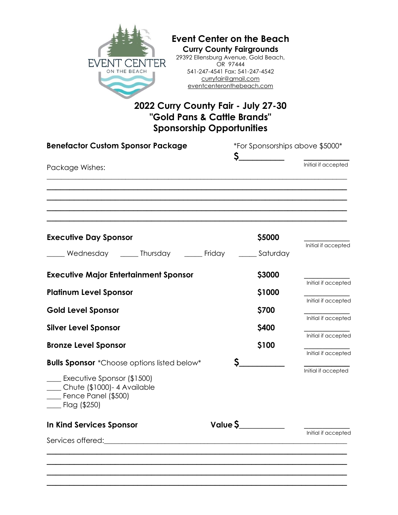

# **Event Center on the Beach Curry County Fairgrounds**

29392 Ellensburg Avenue, Gold Beach, OR 97444 541-247-4541 Fax: 541-247-4542 curryfair@gmail.com eventcenteronthebeach.com

# **2022 Curry County Fair - July 27-30 "Gold Pans & Cattle Brands" Sponsorship Opportunities**

| <b>Benefactor Custom Sponsor Package</b>                                                               |          | *For Sponsorships above \$5000* |                                            |  |
|--------------------------------------------------------------------------------------------------------|----------|---------------------------------|--------------------------------------------|--|
| Package Wishes:                                                                                        | \$.      |                                 | Initial if accepted                        |  |
|                                                                                                        |          |                                 |                                            |  |
| <b>Executive Day Sponsor</b>                                                                           |          | \$5000                          |                                            |  |
| Wednesday ______ Thursday ______ Friday                                                                |          |                                 | Initial if accepted<br>Saturday            |  |
| <b>Executive Major Entertainment Sponsor</b>                                                           |          | \$3000                          | Initial if accepted                        |  |
| <b>Platinum Level Sponsor</b>                                                                          |          | \$1000                          |                                            |  |
| <b>Gold Level Sponsor</b>                                                                              |          | \$700                           | Initial if accepted                        |  |
| <b>Silver Level Sponsor</b>                                                                            |          | \$400                           | Initial if accepted                        |  |
| <b>Bronze Level Sponsor</b>                                                                            |          | \$100                           | Initial if accepted<br>Initial if accepted |  |
| <b>Bulls Sponsor</b> *Choose options listed below*                                                     |          |                                 |                                            |  |
| Executive Sponsor (\$1500)<br>Chute (\$1000)-4 Available<br>$\Box$ Fence Panel (\$500)<br>Flag (\$250) |          |                                 | Initial if accepted                        |  |
| In Kind Services Sponsor                                                                               | Value \$ |                                 | Initial if accepted                        |  |
|                                                                                                        |          |                                 |                                            |  |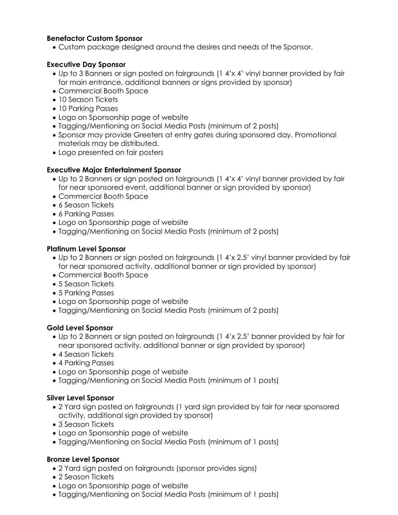# **Benefactor Custom Sponsor**

• Custom package designed around the desires and needs of the Sponsor.

# **Executive Day Sponsor**

- Up to 3 Banners or sign posted on fairgrounds (1 4'x 4' vinyl banner provided by fair for main entrance, additional banners or signs provided by sponsor)
- Commercial Booth Space
- 10 Season Tickets
- 10 Parking Passes
- Logo on Sponsorship page of website
- Tagging/Mentioning on Social Media Posts (minimum of 2 posts)
- Sponsor may provide Greeters at entry gates during sponsored day. Promotional materials may be distributed.
- Logo presented on fair posters

# **Executive Major Entertainment Sponsor**

- Up to 2 Banners or sign posted on fairgrounds (1 4'x 4' vinyl banner provided by fair for near sponsored event, additional banner or sign provided by sponsor)
- Commercial Booth Space
- 6 Season Tickets
- 6 Parking Passes
- Logo on Sponsorship page of website
- Tagging/Mentioning on Social Media Posts (minimum of 2 posts)

# **Platinum Level Sponsor**

- Up to 2 Banners or sign posted on fairgrounds (1 4'x 2.5' vinyl banner provided by fair for near sponsored activity, additional banner or sign provided by sponsor)
- Commercial Booth Space
- 5 Season Tickets
- 5 Parking Passes
- Logo on Sponsorship page of website
- Tagging/Mentioning on Social Media Posts (minimum of 2 posts)

#### **Gold Level Sponsor**

- Up to 2 Banners or sign posted on fairgrounds (1 4'x 2.5' banner provided by fair for near sponsored activity, additional banner or sign provided by sponsor)
- 4 Season Tickets
- 4 Parking Passes
- Logo on Sponsorship page of website
- Tagging/Mentioning on Social Media Posts (minimum of 1 posts)

#### **Silver Level Sponsor**

- 2 Yard sign posted on fairgrounds (1 yard sign provided by fair for near sponsored activity, additional sign provided by sponsor)
- 3 Season Tickets
- Logo on Sponsorship page of website
- Tagging/Mentioning on Social Media Posts (minimum of 1 posts)

#### **Bronze Level Sponsor**

- 2 Yard sign posted on fairgrounds (sponsor provides signs)
- 2 Season Tickets
- Logo on Sponsorship page of website
- Tagging/Mentioning on Social Media Posts (minimum of 1 posts)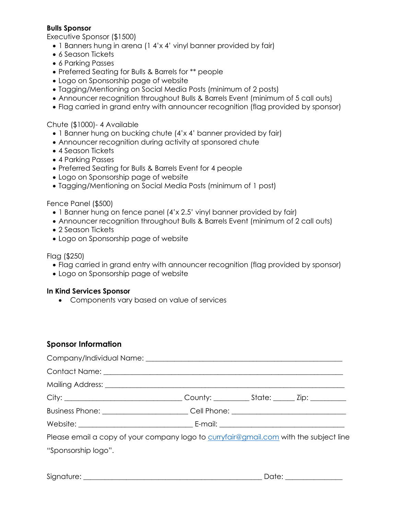# **Bulls Sponsor**

Executive Sponsor (\$1500)

- 1 Banners hung in arena (1 4'x 4' vinyl banner provided by fair)
- 6 Season Tickets
- 6 Parking Passes
- Preferred Seating for Bulls & Barrels for \*\* people
- Logo on Sponsorship page of website
- Tagging/Mentioning on Social Media Posts (minimum of 2 posts)
- Announcer recognition throughout Bulls & Barrels Event (minimum of 5 call outs)
- Flag carried in grand entry with announcer recognition (flag provided by sponsor)

#### Chute (\$1000)- 4 Available

- 1 Banner hung on bucking chute (4'x 4' banner provided by fair)
- Announcer recognition during activity at sponsored chute
- 4 Season Tickets
- 4 Parking Passes
- Preferred Seating for Bulls & Barrels Event for 4 people
- Logo on Sponsorship page of website
- Tagging/Mentioning on Social Media Posts (minimum of 1 post)

#### Fence Panel (\$500)

- 1 Banner hung on fence panel (4'x 2.5' vinyl banner provided by fair)
- Announcer recognition throughout Bulls & Barrels Event (minimum of 2 call outs)
- 2 Season Tickets
- Logo on Sponsorship page of website

#### Flag (\$250)

- Flag carried in grand entry with announcer recognition (flag provided by sponsor)
- Logo on Sponsorship page of website

#### **In Kind Services Sponsor**

• Components vary based on value of services

#### **Sponsor Information**

| City: ___________________________________County: _____________State: ________ Zip: ________________ |  |  |
|-----------------------------------------------------------------------------------------------------|--|--|
| Business Phone: __________________________Cell Phone: __________________________                    |  |  |
|                                                                                                     |  |  |
| Please email a copy of your company logo to curryfair@gmail.com with the subject line               |  |  |
| "Sponsorship logo".                                                                                 |  |  |
|                                                                                                     |  |  |

Signature: \_\_\_\_\_\_\_\_\_\_\_\_\_\_\_\_\_\_\_\_\_\_\_\_\_\_\_\_\_\_\_\_\_\_\_\_\_\_\_\_\_\_\_\_\_\_\_\_\_\_ Date: \_\_\_\_\_\_\_\_\_\_\_\_\_\_\_\_